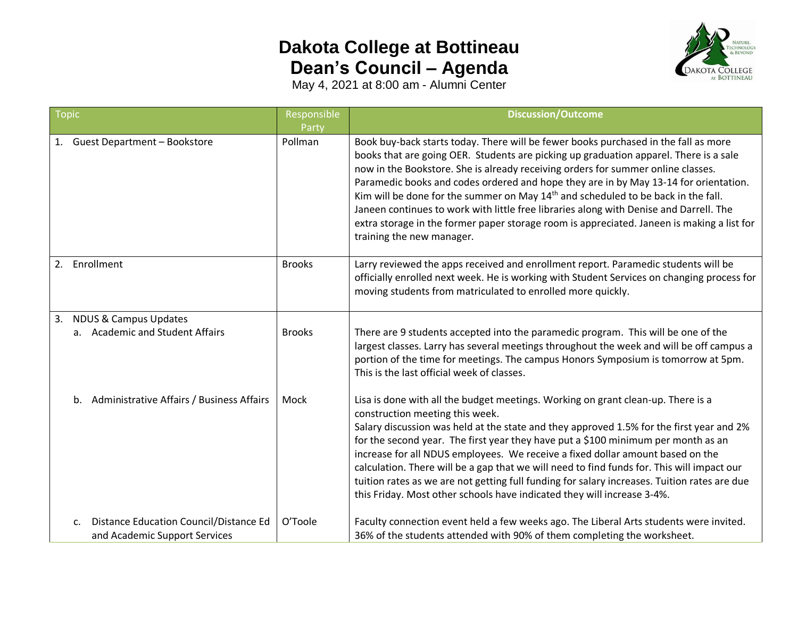## **Dakota College at Bottineau Dean's Council – Agenda**



May 4, 2021 at 8:00 am - Alumni Center

| Topic |                                                                                           | Responsible      | <b>Discussion/Outcome</b>                                                                                                                                                                                                                                                                                                                                                                                                                                                                                                                                                                                                                                                      |
|-------|-------------------------------------------------------------------------------------------|------------------|--------------------------------------------------------------------------------------------------------------------------------------------------------------------------------------------------------------------------------------------------------------------------------------------------------------------------------------------------------------------------------------------------------------------------------------------------------------------------------------------------------------------------------------------------------------------------------------------------------------------------------------------------------------------------------|
| 1.    | <b>Guest Department - Bookstore</b>                                                       | Party<br>Pollman | Book buy-back starts today. There will be fewer books purchased in the fall as more<br>books that are going OER. Students are picking up graduation apparel. There is a sale<br>now in the Bookstore. She is already receiving orders for summer online classes.<br>Paramedic books and codes ordered and hope they are in by May 13-14 for orientation.<br>Kim will be done for the summer on May 14 <sup>th</sup> and scheduled to be back in the fall.<br>Janeen continues to work with little free libraries along with Denise and Darrell. The<br>extra storage in the former paper storage room is appreciated. Janeen is making a list for<br>training the new manager. |
| 2.    | Enrollment                                                                                | <b>Brooks</b>    | Larry reviewed the apps received and enrollment report. Paramedic students will be<br>officially enrolled next week. He is working with Student Services on changing process for<br>moving students from matriculated to enrolled more quickly.                                                                                                                                                                                                                                                                                                                                                                                                                                |
| 3.    | <b>NDUS &amp; Campus Updates</b><br>a. Academic and Student Affairs                       | <b>Brooks</b>    | There are 9 students accepted into the paramedic program. This will be one of the<br>largest classes. Larry has several meetings throughout the week and will be off campus a<br>portion of the time for meetings. The campus Honors Symposium is tomorrow at 5pm.<br>This is the last official week of classes.                                                                                                                                                                                                                                                                                                                                                               |
|       | b. Administrative Affairs / Business Affairs                                              | Mock             | Lisa is done with all the budget meetings. Working on grant clean-up. There is a<br>construction meeting this week.<br>Salary discussion was held at the state and they approved 1.5% for the first year and 2%<br>for the second year. The first year they have put a \$100 minimum per month as an<br>increase for all NDUS employees. We receive a fixed dollar amount based on the<br>calculation. There will be a gap that we will need to find funds for. This will impact our<br>tuition rates as we are not getting full funding for salary increases. Tuition rates are due<br>this Friday. Most other schools have indicated they will increase 3-4%.                |
|       | Distance Education Council/Distance Ed<br>$\mathsf{C}$ .<br>and Academic Support Services | O'Toole          | Faculty connection event held a few weeks ago. The Liberal Arts students were invited.<br>36% of the students attended with 90% of them completing the worksheet.                                                                                                                                                                                                                                                                                                                                                                                                                                                                                                              |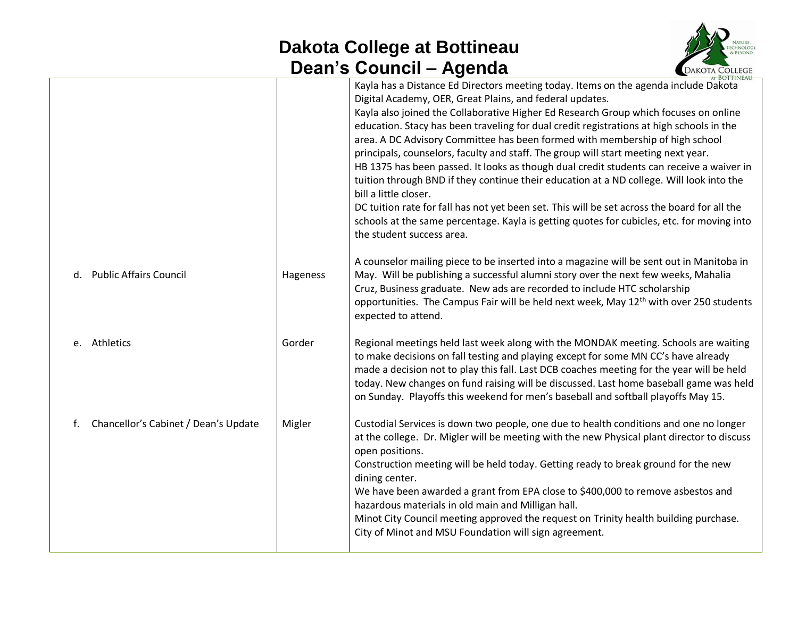## **Dakota College at Bottineau Dean's Council – Agenda**



|                                            |          | $\bullet$ $\bullet$ $\bullet$ $\bullet$ $\bullet$ $\bullet$ $\bullet$ $\bullet$<br>7 1901 1914                                                                                                                                                                                                                                                                                                                                                                                                                                                                                                                                                                                                                                                                                                                                                                                                                                                        |  |
|--------------------------------------------|----------|-------------------------------------------------------------------------------------------------------------------------------------------------------------------------------------------------------------------------------------------------------------------------------------------------------------------------------------------------------------------------------------------------------------------------------------------------------------------------------------------------------------------------------------------------------------------------------------------------------------------------------------------------------------------------------------------------------------------------------------------------------------------------------------------------------------------------------------------------------------------------------------------------------------------------------------------------------|--|
|                                            |          | Kayla has a Distance Ed Directors meeting today. Items on the agenda include Dakota<br>Digital Academy, OER, Great Plains, and federal updates.<br>Kayla also joined the Collaborative Higher Ed Research Group which focuses on online<br>education. Stacy has been traveling for dual credit registrations at high schools in the<br>area. A DC Advisory Committee has been formed with membership of high school<br>principals, counselors, faculty and staff. The group will start meeting next year.<br>HB 1375 has been passed. It looks as though dual credit students can receive a waiver in<br>tuition through BND if they continue their education at a ND college. Will look into the<br>bill a little closer.<br>DC tuition rate for fall has not yet been set. This will be set across the board for all the<br>schools at the same percentage. Kayla is getting quotes for cubicles, etc. for moving into<br>the student success area. |  |
| d. Public Affairs Council                  | Hageness | A counselor mailing piece to be inserted into a magazine will be sent out in Manitoba in<br>May. Will be publishing a successful alumni story over the next few weeks, Mahalia<br>Cruz, Business graduate. New ads are recorded to include HTC scholarship<br>opportunities. The Campus Fair will be held next week, May 12 <sup>th</sup> with over 250 students<br>expected to attend.                                                                                                                                                                                                                                                                                                                                                                                                                                                                                                                                                               |  |
| e. Athletics                               | Gorder   | Regional meetings held last week along with the MONDAK meeting. Schools are waiting<br>to make decisions on fall testing and playing except for some MN CC's have already<br>made a decision not to play this fall. Last DCB coaches meeting for the year will be held<br>today. New changes on fund raising will be discussed. Last home baseball game was held<br>on Sunday. Playoffs this weekend for men's baseball and softball playoffs May 15.                                                                                                                                                                                                                                                                                                                                                                                                                                                                                                 |  |
| Chancellor's Cabinet / Dean's Update<br>f. | Migler   | Custodial Services is down two people, one due to health conditions and one no longer<br>at the college. Dr. Migler will be meeting with the new Physical plant director to discuss<br>open positions.<br>Construction meeting will be held today. Getting ready to break ground for the new<br>dining center.<br>We have been awarded a grant from EPA close to \$400,000 to remove asbestos and<br>hazardous materials in old main and Milligan hall.<br>Minot City Council meeting approved the request on Trinity health building purchase.<br>City of Minot and MSU Foundation will sign agreement.                                                                                                                                                                                                                                                                                                                                              |  |